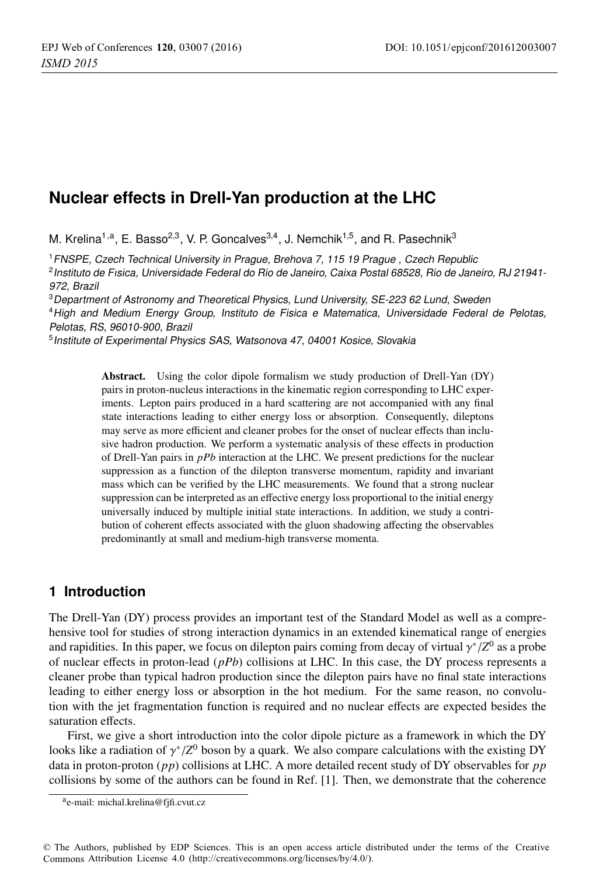# **Nuclear effects in Drell-Yan production at the LHC**

M. Krelina<sup>1,a</sup>, E. Basso<sup>2,3</sup>, V. P. Goncalves<sup>3,4</sup>, J. Nemchik<sup>1,5</sup>, and R. Pasechnik<sup>3</sup>

<sup>1</sup>FNSPE, Czech Technical University in Prague, Brehova 7, 115 19 Prague , Czech Republic <sup>2</sup>Instituto de Fısica, Universidade Federal do Rio de Janeiro, Caixa Postal 68528, Rio de Janeiro, RJ 21941- 972, Brazil

<sup>3</sup>Department of Astronomy and Theoretical Physics, Lund University, SE-223 62 Lund, Sweden

<sup>4</sup>High and Medium Energy Group, Instituto de Fisica e Matematica, Universidade Federal de Pelotas, Pelotas, RS, 96010-900, Brazil

<sup>5</sup> Institute of Experimental Physics SAS, Watsonova 47, 04001 Kosice, Slovakia

Abstract. Using the color dipole formalism we study production of Drell-Yan (DY) pairs in proton-nucleus interactions in the kinematic region corresponding to LHC experiments. Lepton pairs produced in a hard scattering are not accompanied with any final state interactions leading to either energy loss or absorption. Consequently, dileptons may serve as more efficient and cleaner probes for the onset of nuclear effects than inclusive hadron production. We perform a systematic analysis of these effects in production of Drell-Yan pairs in *pPb* interaction at the LHC. We present predictions for the nuclear suppression as a function of the dilepton transverse momentum, rapidity and invariant mass which can be verified by the LHC measurements. We found that a strong nuclear suppression can be interpreted as an effective energy loss proportional to the initial energy universally induced by multiple initial state interactions. In addition, we study a contribution of coherent effects associated with the gluon shadowing affecting the observables predominantly at small and medium-high transverse momenta.

## **1 Introduction**

The Drell-Yan (DY) process provides an important test of the Standard Model as well as a comprehensive tool for studies of strong interaction dynamics in an extended kinematical range of energies and rapidities. In this paper, we focus on dilepton pairs coming from decay of virtual  $\gamma^*/Z^0$  as a probe of nuclear effects in proton-lead (*pPb*) collisions at LHC. In this case, the DY process represents a cleaner probe than typical hadron production since the dilepton pairs have no final state interactions leading to either energy loss or absorption in the hot medium. For the same reason, no convolution with the jet fragmentation function is required and no nuclear effects are expected besides the saturation effects.

First, we give a short introduction into the color dipole picture as a framework in which the DY looks like a radiation of  $\gamma^*/Z^0$  boson by a quark. We also compare calculations with the existing DY data in proton-proton (*pp*) collisions at LHC. A more detailed recent study of DY observables for *pp* collisions by some of the authors can be found in Ref. [1]. Then, we demonstrate that the coherence

© The Authors, published by EDP Sciences. This is an open access article distributed under the terms of the Creative Commons Attribution License 4.0 ([http://creativecommons.org/licenses/by/4.0/\).](http://creativecommons.org/licenses/by/4.0/) 

ae-mail: [michal.krelina@fjfi.cvut.cz](mailto:michal.krelina@fjfi.cvut.cz)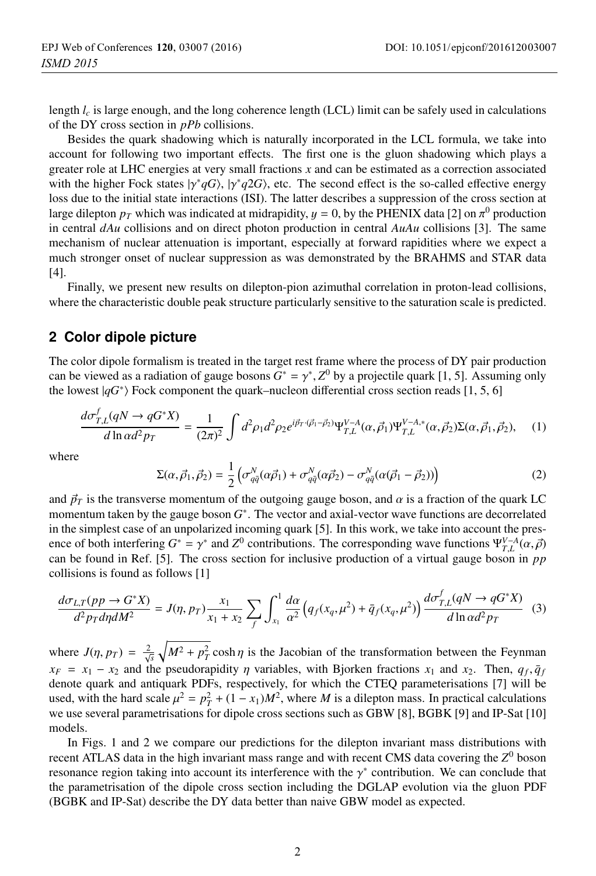length  $l_c$  is large enough, and the long coherence length (LCL) limit can be safely used in calculations of the DY cross section in *pPb* collisions.

Besides the quark shadowing which is naturally incorporated in the LCL formula, we take into account for following two important effects. The first one is the gluon shadowing which plays a greater role at LHC energies at very small fractions *x* and can be estimated as a correction associated with the higher Fock states  $|\gamma^*qG\rangle$ ,  $|\gamma^*q2G\rangle$ , etc. The second effect is the so-called effective energy loss due to the initial state interactions (ISI). The latter describes a suppression of the cross section at large dilepton  $p_T$  which was indicated at midrapidity,  $y = 0$ , by the PHENIX data [2] on  $\pi^0$  production in central *dAu* collisions and on direct photon production in central *AuAu* collisions [3]. The same mechanism of nuclear attenuation is important, especially at forward rapidities where we expect a much stronger onset of nuclear suppression as was demonstrated by the BRAHMS and STAR data [4].

Finally, we present new results on dilepton-pion azimuthal correlation in proton-lead collisions, where the characteristic double peak structure particularly sensitive to the saturation scale is predicted.

### **2 Color dipole picture**

The color dipole formalism is treated in the target rest frame where the process of DY pair production can be viewed as a radiation of gauge bosons  $G^* = \gamma^*$ ,  $Z^0$  by a projectile quark [1, 5]. Assuming only the lowest  $|qG^*\rangle$  Fock component the quark–nucleon differential cross section reads [1, 5, 6]

$$
\frac{d\sigma_{T,L}^{f}(qN \to qG^*X)}{d\ln \alpha d^2 p_T} = \frac{1}{(2\pi)^2} \int d^2 \rho_1 d^2 \rho_2 e^{i\vec{p}_T \cdot (\vec{\rho}_1 - \vec{\rho}_2)} \Psi_{T,L}^{V-A}(\alpha, \vec{\rho}_1) \Psi_{T,L}^{V-A,*}(\alpha, \vec{\rho}_2) \Sigma(\alpha, \vec{\rho}_1, \vec{\rho}_2), \quad (1)
$$

where

$$
\Sigma(\alpha, \vec{\rho}_1, \vec{\rho}_2) = \frac{1}{2} \left( \sigma_{q\bar{q}}^N(\alpha \vec{\rho}_1) + \sigma_{q\bar{q}}^N(\alpha \vec{\rho}_2) - \sigma_{q\bar{q}}^N(\alpha (\vec{\rho}_1 - \vec{\rho}_2)) \right)
$$
(2)

and  $\vec{p}_T$  is the transverse momentum of the outgoing gauge boson, and  $\alpha$  is a fraction of the quark LC momentum taken by the gauge boson *G*∗. The vector and axial-vector wave functions are decorrelated in the simplest case of an unpolarized incoming quark [5]. In this work, we take into account the presence of both interfering  $G^* = \gamma^*$  and  $Z^0$  contributions. The corresponding wave functions  $\Psi_{T,L}^{V-A}(\alpha, \vec{\rho})$ can be found in Ref. [5]. The cross section for inclusive production of a virtual gauge boson in *pp* collisions is found as follows [1]

$$
\frac{d\sigma_{L,T}(pp \to G^*X)}{d^2p_T d\eta dM^2} = J(\eta, pr) \frac{x_1}{x_1 + x_2} \sum_{f} \int_{x_1}^1 \frac{d\alpha}{\alpha^2} \left( q_f(x_q, \mu^2) + \bar{q}_f(x_q, \mu^2) \right) \frac{d\sigma_{T,L}^f(qN \to qG^*X)}{d\ln \alpha d^2p_T}
$$
(3)

where  $J(\eta, p_T) = \frac{2}{\sqrt{s}} \sqrt{M^2 + p_T^2} \cosh \eta$  is the Jacobian of the transformation between the Feynman  $x_F = x_1 - x_2$  and the pseudorapidity  $\eta$  variables, with Bjorken fractions  $x_1$  and  $x_2$ . Then,  $q_f, \bar{q}_f$ denote quark and antiquark PDFs, respectively, for which the CTEQ parameterisations [7] will be used, with the hard scale  $\mu^2 = p_T^2 + (1 - x_1)M^2$ , where *M* is a dilepton mass. In practical calculations we use several parametrisations for dipole cross sections such as GBW [8], BGBK [9] and IP-Sat [10] models.

In Figs. 1 and 2 we compare our predictions for the dilepton invariant mass distributions with recent ATLAS data in the high invariant mass range and with recent CMS data covering the *Z*<sup>0</sup> boson resonance region taking into account its interference with the  $\gamma^*$  contribution. We can conclude that the parametrisation of the dipole cross section including the DGLAP evolution via the gluon PDF (BGBK and IP-Sat) describe the DY data better than naive GBW model as expected.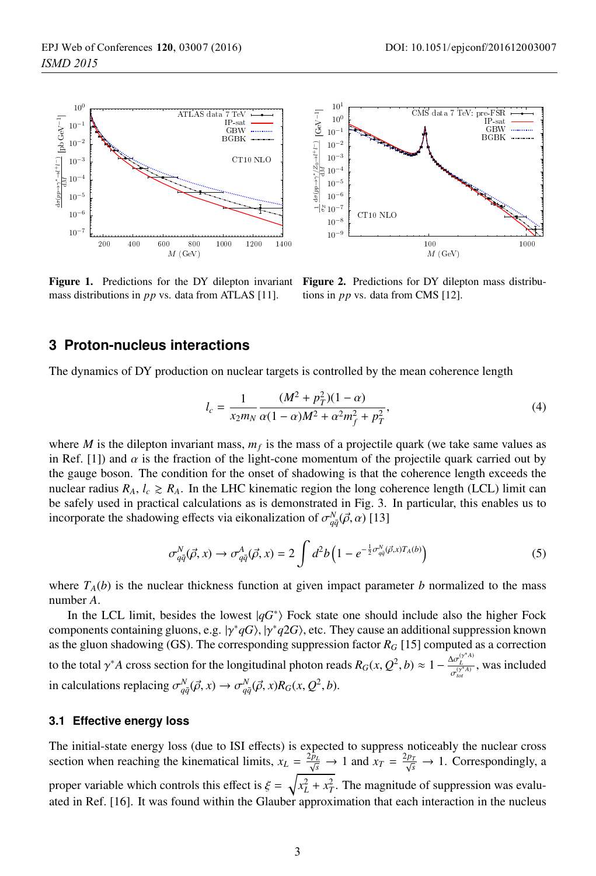

Figure 1. Predictions for the DY dilepton invariant mass distributions in *pp* vs. data from ATLAS [11].



Figure 2. Predictions for DY dilepton mass distributions in *pp* vs. data from CMS [12].

### **3 Proton-nucleus interactions**

The dynamics of DY production on nuclear targets is controlled by the mean coherence length

$$
l_c = \frac{1}{x_2 m_N} \frac{(M^2 + p_T^2)(1 - \alpha)}{\alpha (1 - \alpha) M^2 + \alpha^2 m_f^2 + p_T^2},\tag{4}
$$

where *M* is the dilepton invariant mass,  $m_f$  is the mass of a projectile quark (we take same values as in Ref. [1]) and  $\alpha$  is the fraction of the light-cone momentum of the projectile quark carried out by the gauge boson. The condition for the onset of shadowing is that the coherence length exceeds the nuclear radius  $R_A$ ,  $l_c \ge R_A$ . In the LHC kinematic region the long coherence length (LCL) limit can be safely used in practical calculations as is demonstrated in Fig. 3. In particular, this enables us to incorporate the shadowing effects via eikonalization of  $\sigma_{q\bar{q}}^N(\vec{\rho}, \alpha)$  [13]

$$
\sigma_{q\bar{q}}^N(\vec{\rho},x) \to \sigma_{q\bar{q}}^A(\vec{\rho},x) = 2 \int d^2b \left(1 - e^{-\frac{1}{2}\sigma_{q\bar{q}}^N(\vec{\rho},x)T_A(b)}\right)
$$
(5)

where  $T_A(b)$  is the nuclear thickness function at given impact parameter *b* normalized to the mass number *A*.

In the LCL limit, besides the lowest  $|qG^*\rangle$  Fock state one should include also the higher Fock components containing gluons, e.g.  $|\gamma^*qG\rangle$ ,  $|\gamma^*q2G\rangle$ , etc. They cause an additional suppression known as the gluon shadowing (GS). The corresponding suppression factor *RG* [15] computed as a correction to the total  $\gamma^* A$  cross section for the longitudinal photon reads  $R_G(x, Q^2, b) \approx 1 - \frac{\Delta \sigma_L^{(\gamma^* A)}}{\sigma_{tot}^{(\gamma^* A)}}$ , was included in calculations replacing  $\sigma_{q\bar{q}}^N(\vec{\rho}, x) \rightarrow \sigma_{q\bar{q}}^N(\vec{\rho}, x)R_G(x, Q^2, b)$ .

#### **3.1 Effective energy loss**

The initial-state energy loss (due to ISI effects) is expected to suppress noticeably the nuclear cross section when reaching the kinematical limits,  $x_L = \frac{2p_L}{\sqrt{s}} \rightarrow 1$  and  $x_T = \frac{2p_T}{\sqrt{s}} \rightarrow 1$ . Correspondingly, a proper variable which controls this effect is  $\xi = \sqrt{x_L^2 + x_T^2}$ . The magnitude of suppression was evaluated in Ref. [16]. It was found within the Glauber approximation that each interaction in the nucleus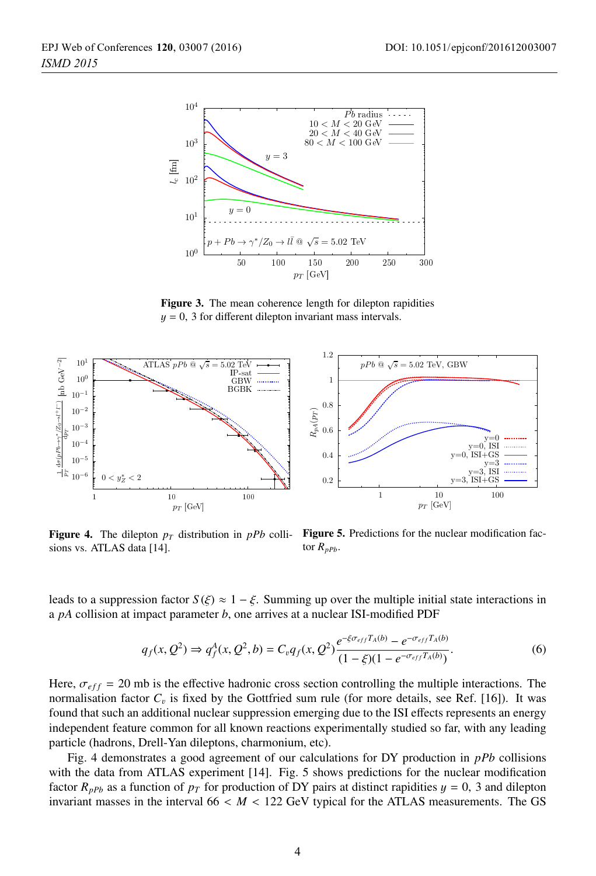

Figure 3. The mean coherence length for dilepton rapidities  $y = 0$ , 3 for different dilepton invariant mass intervals.



Figure 4. The dilepton  $p_T$  distribution in  $pPb$  collisions vs. ATLAS data [14].

Figure 5. Predictions for the nuclear modification factor  $R_{pPb}$ .

leads to a suppression factor  $S(\xi) \approx 1 - \xi$ . Summing up over the multiple initial state interactions in a *pA* collision at impact parameter *b*, one arrives at a nuclear ISI-modified PDF

$$
q_f(x, Q^2) \Rightarrow q_f^A(x, Q^2, b) = C_v q_f(x, Q^2) \frac{e^{-\xi \sigma_{eff} T_A(b)} - e^{-\sigma_{eff} T_A(b)}}{(1 - \xi)(1 - e^{-\sigma_{eff} T_A(b)})}.
$$
(6)

Here,  $\sigma_{eff}$  = 20 mb is the effective hadronic cross section controlling the multiple interactions. The normalisation factor  $C_v$  is fixed by the Gottfried sum rule (for more details, see Ref. [16]). It was found that such an additional nuclear suppression emerging due to the ISI effects represents an energy independent feature common for all known reactions experimentally studied so far, with any leading particle (hadrons, Drell-Yan dileptons, charmonium, etc).

Fig. 4 demonstrates a good agreement of our calculations for DY production in *pPb* collisions with the data from ATLAS experiment [14]. Fig. 5 shows predictions for the nuclear modification factor  $R_{pPb}$  as a function of  $p<sub>T</sub>$  for production of DY pairs at distinct rapidities  $y = 0$ , 3 and dilepton invariant masses in the interval  $66 < M < 122$  GeV typical for the ATLAS measurements. The GS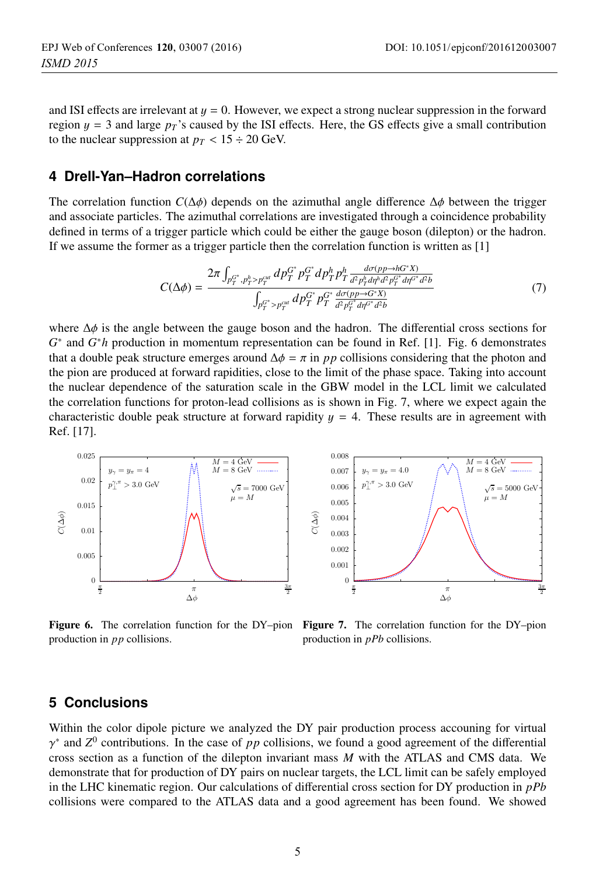and ISI effects are irrelevant at  $y = 0$ . However, we expect a strong nuclear suppression in the forward region  $y = 3$  and large  $p<sub>T</sub>$ 's caused by the ISI effects. Here, the GS effects give a small contribution to the nuclear suppression at  $p_T < 15 \div 20$  GeV.

### **4 Drell-Yan–Hadron correlations**

The correlation function  $C(\Delta \phi)$  depends on the azimuthal angle difference  $\Delta \phi$  between the trigger and associate particles. The azimuthal correlations are investigated through a coincidence probability defined in terms of a trigger particle which could be either the gauge boson (dilepton) or the hadron. If we assume the former as a trigger particle then the correlation function is written as [1]

$$
C(\Delta \phi) = \frac{2\pi \int_{p_T^{G^*}, p_T^{h} > p_T^{cut}} dp_T^{G^*} p_T^{G^*} dp_T^{h} p_T^{h} \frac{d\sigma(p_P \to hG^*X)}{d^2 p_T^{h} d\eta^{h} d^2 p_T^{G^*} d\eta^{G^*} d^2 b}}{\int_{p_T^{G^*} > p_T^{cut}} dp_T^{G^*} p_T^{G^*} \frac{d\sigma(p_P \to G^*X)}{d^2 p_T^{G^*} d\eta^{G^*} d^2 b}}
$$
(7)

where  $\Delta\phi$  is the angle between the gauge boson and the hadron. The differential cross sections for *G*<sup>∗</sup> and *G*∗*h* production in momentum representation can be found in Ref. [1]. Fig. 6 demonstrates that a double peak structure emerges around  $\Delta \phi = \pi$  in *pp* collisions considering that the photon and the pion are produced at forward rapidities, close to the limit of the phase space. Taking into account the nuclear dependence of the saturation scale in the GBW model in the LCL limit we calculated the correlation functions for proton-lead collisions as is shown in Fig. 7, where we expect again the characteristic double peak structure at forward rapidity  $y = 4$ . These results are in agreement with Ref. [17].



production in *pp* collisions.



**Figure 6.** The correlation function for the DY–pion **Figure 7.** The correlation function for the DY–pion production in *nPh* collisions production in *pPb* collisions.

### **5 Conclusions**

Within the color dipole picture we analyzed the DY pair production process accouning for virtual  $\gamma^*$  and  $Z^0$  contributions. In the case of *pp* collisions, we found a good agreement of the differential cross section as a function of the dilepton invariant mass *M* with the ATLAS and CMS data. We demonstrate that for production of DY pairs on nuclear targets, the LCL limit can be safely employed in the LHC kinematic region. Our calculations of differential cross section for DY production in *pPb* collisions were compared to the ATLAS data and a good agreement has been found. We showed